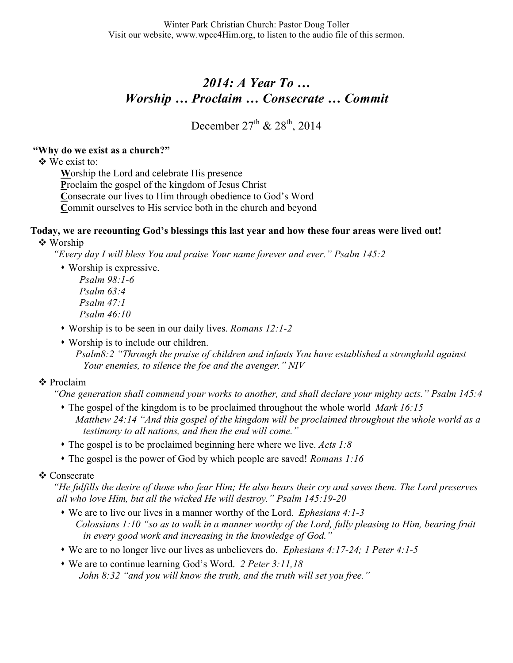# *2014: A Year To … Worship … Proclaim … Consecrate … Commit*

December  $27^{th}$  &  $28^{th}$ , 2014

### **"Why do we exist as a church?"**

We exist to:

**W**orship the Lord and celebrate His presence **P**roclaim the gospel of the kingdom of Jesus Christ **C**onsecrate our lives to Him through obedience to God's Word **C**ommit ourselves to His service both in the church and beyond

#### **Today, we are recounting God's blessings this last year and how these four areas were lived out!** Worship

*"Every day I will bless You and praise Your name forever and ever." Psalm 145:2*

 Worship is expressive. *Psalm 98:1-6* 

*Psalm 63:4 Psalm 47:1 Psalm 46:10* 

- Worship is to be seen in our daily lives. *Romans 12:1-2*
- Worship is to include our children. *Psalm8:2 "Through the praise of children and infants You have established a stronghold against Your enemies, to silence the foe and the avenger." NIV*

## **❖** Proclaim

*"One generation shall commend your works to another, and shall declare your mighty acts." Psalm 145:4*

- The gospel of the kingdom is to be proclaimed throughout the whole world *Mark 16:15 Matthew 24:14 "And this gospel of the kingdom will be proclaimed throughout the whole world as a testimony to all nations, and then the end will come."*
- The gospel is to be proclaimed beginning here where we live. *Acts 1:8*
- The gospel is the power of God by which people are saved! *Romans 1:16*

## ❖ Consecrate

*"He fulfills the desire of those who fear Him; He also hears their cry and saves them. The Lord preserves all who love Him, but all the wicked He will destroy." Psalm 145:19-20*

- We are to live our lives in a manner worthy of the Lord. *Ephesians 4:1-3 Colossians 1:10 "so as to walk in a manner worthy of the Lord, fully pleasing to Him, bearing fruit in every good work and increasing in the knowledge of God."*
- We are to no longer live our lives as unbelievers do. *Ephesians 4:17-24; 1 Peter 4:1-5*
- We are to continue learning God's Word. *2 Peter 3:11,18 John 8:32 "and you will know the truth, and the truth will set you free."*